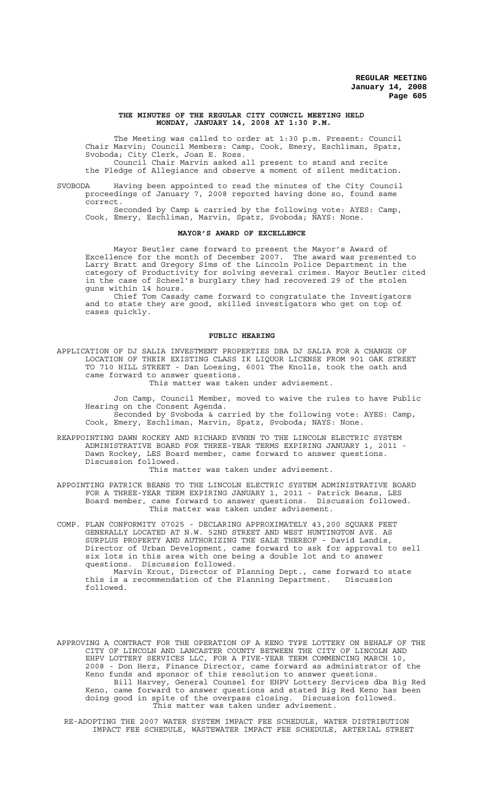### **THE MINUTES OF THE REGULAR CITY COUNCIL MEETING HELD MONDAY, JANUARY 14, 2008 AT 1:30 P.M.**

The Meeting was called to order at 1:30 p.m. Present: Council Chair Marvin; Council Members: Camp, Cook, Emery, Eschliman, Spatz, Svoboda; City Clerk, Joan E. Ross.

Council Chair Marvin asked all present to stand and recite the Pledge of Allegiance and observe a moment of silent meditation.

SVOBODA Having been appointed to read the minutes of the City Council proceedings of January 7, 2008 reported having done so, found same correct.

Seconded by Camp & carried by the following vote: AYES: Camp, Cook, Emery, Eschliman, Marvin, Spatz, Svoboda; NAYS: None.

### **MAYOR'S AWARD OF EXCELLENCE**

Mayor Beutler came forward to present the Mayor's Award of Excellence for the month of December 2007. The award was presented to Larry Bratt and Gregory Sims of the Lincoln Police Department in the category of Productivity for solving several crimes. Mayor Beutler cited in the case of Scheel's burglary they had recovered 29 of the stolen guns within 14 hours.

Chief Tom Casady came forward to congratulate the Investigators and to state they are good, skilled investigators who get on top of cases quickly.

# **PUBLIC HEARING**

APPLICATION OF DJ SALIA INVESTMENT PROPERTIES DBA DJ SALIA FOR A CHANGE OF LOCATION OF THEIR EXISTING CLASS IK LIQUOR LICENSE FROM 901 OAK STREET TO 710 HILL STREET - Dan Loesing, 6001 The Knolls, took the oath and came forward to answer questions. This matter was taken under advisement.

Jon Camp, Council Member, moved to waive the rules to have Public Hearing on the Consent Agenda.

Seconded by Svoboda & carried by the following vote: AYES: Camp, Cook, Emery, Eschliman, Marvin, Spatz, Svoboda; NAYS: None.

REAPPOINTING DAWN ROCKEY AND RICHARD EVNEN TO THE LINCOLN ELECTRIC SYSTEM ADMINISTRATIVE BOARD FOR THREE-YEAR TERMS EXPIRING JANUARY 1, 2011 - Dawn Rockey, LES Board member, came forward to answer questions. Discussion followed.

This matter was taken under advisement.

APPOINTING PATRICK BEANS TO THE LINCOLN ELECTRIC SYSTEM ADMINISTRATIVE BOARD FOR A THREE-YEAR TERM EXPIRING JANUARY 1, 2011 - Patrick Beans, LES Board member, came forward to answer questions. Discussion followed. This matter was taken under advisement.

COMP. PLAN CONFORMITY 07025 - DECLARING APPROXIMATELY 43,200 SQUARE FEET GENERALLY LOCATED AT N.W. 52ND STREET AND WEST HUNTINGTON AVE. AS SURPLUS PROPERTY AND AUTHORIZING THE SALE THEREOF - David Landis, Director of Urban Development, came forward to ask for approval to sell six lots in this area with one being a double lot and to answer questions. Discussion followed.

Marvin Krout, Director of Planning Dept., came forward to state this is a recommendation of the Planning Department. Discussion followed.

APPROVING A CONTRACT FOR THE OPERATION OF A KENO TYPE LOTTERY ON BEHALF OF THE CITY OF LINCOLN AND LANCASTER COUNTY BETWEEN THE CITY OF LINCOLN AND EHPV LOTTERY SERVICES LLC, FOR A FIVE-YEAR TERM COMMENCING MARCH 10, 2008 - Don Herz, Finance Director, came forward as administrator of the Keno funds and sponsor of this resolution to answer questions. Bill Harvey, General Counsel for EHPV Lottery Services dba Big Red Keno, came forward to answer questions and stated Big Red Keno has been<br>doing good in spite of the overpass closing. Discussion followed. doing good in spite of the overpass closing. This matter was taken under advisement.

RE-ADOPTING THE 2007 WATER SYSTEM IMPACT FEE SCHEDULE, WATER DISTRIBUTION IMPACT FEE SCHEDULE, WASTEWATER IMPACT FEE SCHEDULE, ARTERIAL STREET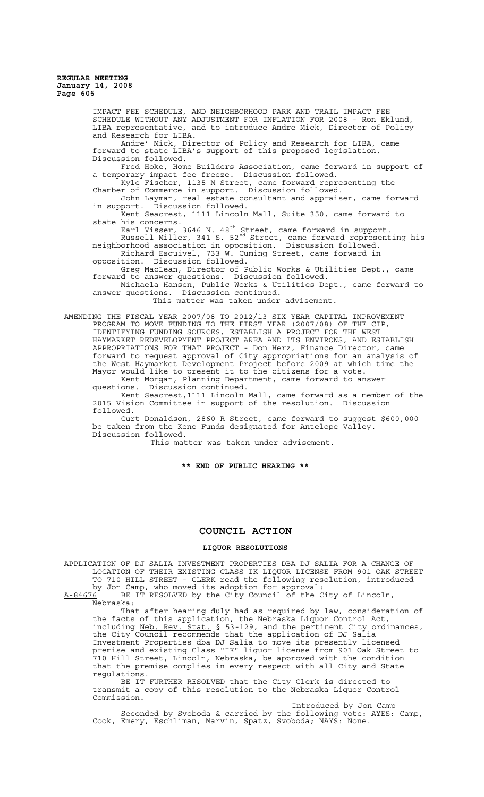> IMPACT FEE SCHEDULE, AND NEIGHBORHOOD PARK AND TRAIL IMPACT FEE SCHEDULE WITHOUT ANY ADJUSTMENT FOR INFLATION FOR 2008 - Ron Eklund, LIBA representative, and to introduce Andre Mick, Director of Policy and Research for LIBA. Andre' Mick, Director of Policy and Research for LIBA, came forward to state LIBA's support of this proposed legislation. Discussion followed. Fred Hoke, Home Builders Association, came forward in support of a temporary impact fee freeze. Discussion followed. Kyle Fischer, 1135 M Street, came forward representing the Chamber of Commerce in support. Discussion followed. Chamber of Commerce in support. Discussion followed.<br>John Layman, real estate consultant and appraiser, came forward in support. Discussion followed. Kent Seacrest, 1111 Lincoln Mall, Suite 350, came forward to state his concerns. Earl Visser, 3646 N. 48 $^{\text{th}}$  Street, came forward in support. Russell Miller, 341 S. 52nd Street, came forward representing his neighborhood association in opposition. Discussion followed. Richard Esquivel, 733 W. Cuming Street, came forward in opposition. Discussion followed. Greg MacLean, Director of Public Works & Utilities Dept., came forward to answer questions. Discussion followed. Michaela Hansen, Public Works & Utilities Dept., came forward to answer questions. Discussion continued. This matter was taken under advisement. AMENDING THE FISCAL YEAR 2007/08 TO 2012/13 SIX YEAR CAPITAL IMPROVEMENT PROGRAM TO MOVE FUNDING TO THE FIRST YEAR (2007/08) OF THE CIP,

IDENTIFYING FUNDING SOURCES, ESTABLISH A PROJECT FOR THE WEST HAYMARKET REDEVELOPMENT PROJECT AREA AND ITS ENVIRONS, AND ESTABLISH APPROPRIATIONS FOR THAT PROJECT - Don Herz, Finance Director, came forward to request approval of City appropriations for an analysis of the West Haymarket Development Project before 2009 at which time the Mayor would like to present it to the citizens for a vote. Kent Morgan, Planning Department, came forward to answer questions. Discussion continued.

Kent Seacrest,1111 Lincoln Mall, came forward as a member of the 2015 Vision Committee in support of the resolution. Discussion followed.

Curt Donaldson, 2860 R Street, came forward to suggest \$600,000 be taken from the Keno Funds designated for Antelope Valley. Discussion followed.

This matter was taken under advisement.

**\*\* END OF PUBLIC HEARING \*\***

# **COUNCIL ACTION**

## **LIQUOR RESOLUTIONS**

APPLICATION OF DJ SALIA INVESTMENT PROPERTIES DBA DJ SALIA FOR A CHANGE OF LOCATION OF THEIR EXISTING CLASS IK LIQUOR LICENSE FROM 901 OAK STREET TO 710 HILL STREET - CLERK read the following resolution, introduced by Jon Camp, who moved its adoption for approval: A-84676 BE IT RESOLVED by the City Council of the City of Lincoln, Nebraska:

That after hearing duly had as required by law, consideration of the facts of this application, the Nebraska Liquor Control Act, including Neb. Rev. Stat. § 53-129, and the pertinent City ordi Rev. Stat. § 53-129, and the pertinent City ordinances, the City Council recommends that the application of DJ Salia Investment Properties dba DJ Salia to move its presently licensed premise and existing Class "IK" liquor license from 901 Oak Street to 710 Hill Street, Lincoln, Nebraska, be approved with the condition that the premise complies in every respect with all City and State regulations.

BE IT FURTHER RESOLVED that the City Clerk is directed to transmit a copy of this resolution to the Nebraska Liquor Control Commission.

Introduced by Jon Camp

Seconded by Svoboda & carried by the following vote: AYES: Camp, Cook, Emery, Eschliman, Marvin, Spatz, Svoboda; NAYS: None.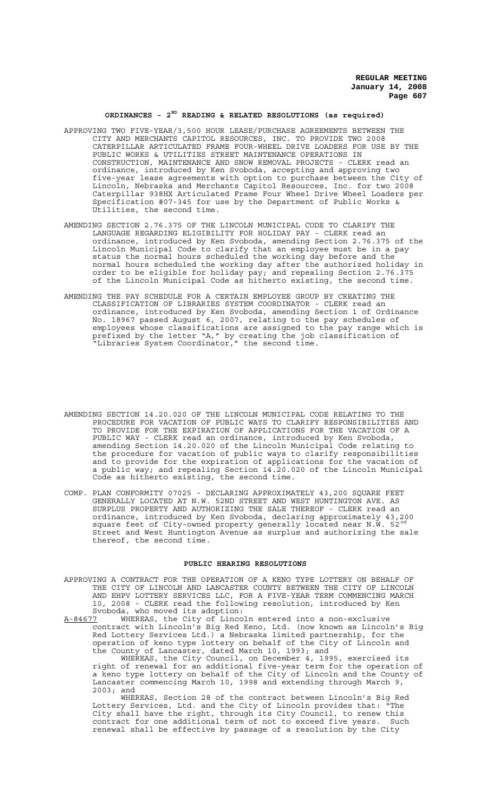## **ORDINANCES - 2ND READING & RELATED RESOLUTIONS (as required)**

- APPROVING TWO FIVE-YEAR/3,500 HOUR LEASE/PURCHASE AGREEMENTS BETWEEN THE CITY AND MERCHANTS CAPITOL RESOURCES, INC. TO PROVIDE TWO 2008 CATERPILLAR ARTICULATED FRAME FOUR-WHEEL DRIVE LOADERS FOR USE BY THE PUBLIC WORKS & UTILITIES STREET MAINTENANCE OPERATIONS IN CONSTRUCTION, MAINTENANCE AND SNOW REMOVAL PROJECTS - CLERK read an ordinance, introduced by Ken Svoboda, accepting and approving two five-year lease agreements with option to purchase between the City of Lincoln, Nebraska and Merchants Capitol Resources, Inc. for two 2008 Caterpillar 938HX Articulated Frame Four Wheel Drive Wheel Loaders per Specification #07-345 for use by the Department of Public Works & Utilities, the second time.
- AMENDING SECTION 2.76.375 OF THE LINCOLN MUNICIPAL CODE TO CLARIFY THE LANGUAGE REGARDING ELIGIBILITY FOR HOLIDAY PAY - CLERK read an ordinance, introduced by Ken Svoboda, amending Section 2.76.375 of the Lincoln Municipal Code to clarify that an employee must be in a pay status the normal hours scheduled the working day before and the normal hours scheduled the working day after the authorized holiday in order to be eligible for holiday pay; and repealing Section 2.76.375 of the Lincoln Municipal Code as hitherto existing, the second time.
- AMENDING THE PAY SCHEDULE FOR A CERTAIN EMPLOYEE GROUP BY CREATING THE CLASSIFICATION OF LIBRARIES SYSTEM COORDINATOR - CLERK read an ordinance, introduced by Ken Svoboda, amending Section 1 of Ordinance No. 18967 passed August 6, 2007, relating to the pay schedules of employees whose classifications are assigned to the pay range which is prefixed by the letter "A," by creating the job classification of "Libraries System Coordinator," the second time.
- AMENDING SECTION 14.20.020 OF THE LINCOLN MUNICIPAL CODE RELATING TO THE PROCEDURE FOR VACATION OF PUBLIC WAYS TO CLARIFY RESPONSIBILITIES AND TO PROVIDE FOR THE EXPIRATION OF APPLICATIONS FOR THE VACATION OF A PUBLIC WAY - CLERK read an ordinance, introduced by Ken Svoboda, amending Section 14.20.020 of the Lincoln Municipal Code relating to the procedure for vacation of public ways to clarify responsibilities and to provide for the expiration of applications for the vacation of a public way; and repealing Section 14.20.020 of the Lincoln Municipal Code as hitherto existing,
- COMP. PLAN CONFORMITY 07025 DECLARING APPROXIMATELY 43,200 SQUARE FEET GENERALLY LOCATED AT N.W. 52ND STREET AND WEST HUNTINGTON AVE. AS SURPLUS PROPERTY AND AUTHORIZING THE SALE THEREOF - CLERK read an ordinance, introduced by Ken Svoboda, declaring approximately 43,200 square feet of City-owned property generally located near N.W. 52<sup>nd</sup> Street and West Huntington Avenue as surplus and authorizing the sale thereof, the second time.

## **PUBLIC HEARING RESOLUTIONS**

- APPROVING A CONTRACT FOR THE OPERATION OF A KENO TYPE LOTTERY ON BEHALF OF THE CITY OF LINCOLN AND LANCASTER COUNTY BETWEEN THE CITY OF LINCOLN AND EHPV LOTTERY SERVICES LLC, FOR A FIVE-YEAR TERM COMMENCING MARCH 10, 2008 - CLERK read the following resolution, introduced by Ken Svoboda, who moved its adoption:<br>A-84677 WHEREAS, the City of Linco
- A-84677 WHEREAS, the City of Lincoln entered into a non-exclusive contract with Lincoln's Big Red Keno, Ltd. (now known as Lincoln's Big Red Lottery Services Ltd.) a Nebraska limited partnership, for the operation of keno type lottery on behalf of the City of Lincoln and the County of Lancaster, dated March 10, 1993; and

WHEREAS, the City Council, on December 4, 1995, exercised its right of renewal for an additional five-year term for the operation of a keno type lottery on behalf of the City of Lincoln and the County of Lancaster commencing March 10, 1998 and extending through March 9, 2003; and

WHEREAS, Section 28 of the contract between Lincoln's Big Red Lottery Services, Ltd. and the City of Lincoln provides that: "The City shall have the right, through its City Council, to renew this contract for one additional term of not to exceed five years. Such renewal shall be effective by passage of a resolution by the City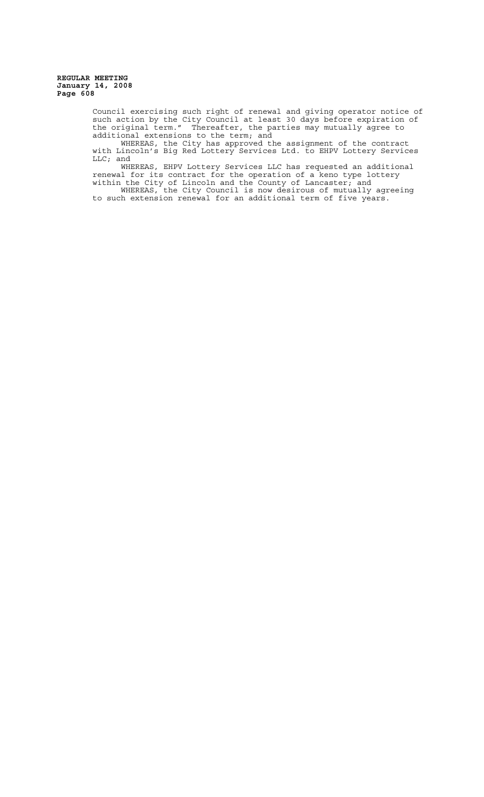> Council exercising such right of renewal and giving operator notice of such action by the City Council at least 30 days before expiration of the original term." Thereafter, the parties may mutually agree to additional extensions to the term; and

WHEREAS, the City has approved the assignment of the contract with Lincoln's Big Red Lottery Services Ltd. to EHPV Lottery Services LLC; and

WHEREAS, EHPV Lottery Services LLC has requested an additional renewal for its contract for the operation of a keno type lottery within the City of Lincoln and the County of Lancaster; and

WHEREAS, the City Council is now desirous of mutually agreeing to such extension renewal for an additional term of five years.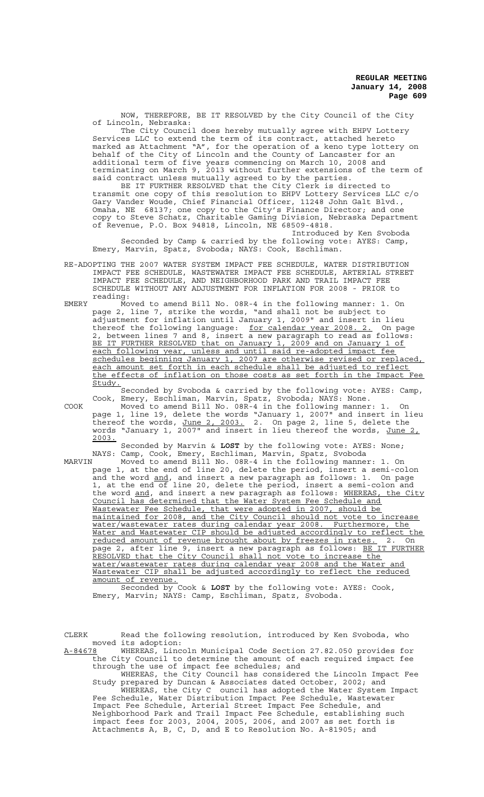NOW, THEREFORE, BE IT RESOLVED by the City Council of the City of Lincoln, Nebraska:

The City Council does hereby mutually agree with EHPV Lottery Services LLC to extend the term of its contract, attached hereto marked as Attachment "A", for the operation of a keno type lottery on behalf of the City of Lincoln and the County of Lancaster for an additional term of five years commencing on March 10, 2008 and terminating on March 9, 2013 without further extensions of the term of said contract unless mutually agreed to by the parties.

BE IT FURTHER RESOLVED that the City Clerk is directed to transmit one copy of this resolution to EHPV Lottery Services LLC c/o Gary Vander Woude, Chief Financial Officer, 11248 John Galt Blvd., Omaha, NE 68137; one copy to the City's Finance Director; and one copy to Steve Schatz, Charitable Gaming Division, Nebraska Department of Revenue, P.O. Box 94818, Lincoln, NE 68509-4818.

Introduced by Ken Svoboda Seconded by Camp & carried by the following vote: AYES: Camp, Emery, Marvin, Spatz, Svoboda; NAYS: Cook, Eschliman.

- RE-ADOPTING THE 2007 WATER SYSTEM IMPACT FEE SCHEDULE, WATER DISTRIBUTION IMPACT FEE SCHEDULE, WASTEWATER IMPACT FEE SCHEDULE, ARTERIAL STREET IMPACT FEE SCHEDULE, AND NEIGHBORHOOD PARK AND TRAIL IMPACT FEE SCHEDULE WITHOUT ANY ADJUSTMENT FOR INFLATION FOR 2008 - PRIOR to reading:
- EMERY Moved to amend Bill No. 08R-4 in the following manner: 1. On page 2, line 7, strike the words, "and shall not be subject to adjustment for inflation until January 1, 2009" and insert in lieu thereof the following language: for calendar year 2008. 2. On page 2, between lines 7 and 8, insert a new paragraph to read as follows: BE IT FURTHER RESOLVED that on January 1, 2009 and on January 1 of each following year, unless and until said re-adopted impact fee schedules beginning January 1, 2007 are otherwise revised or replaced, each amount set forth in each schedule shall be adjusted to reflect the effects of inflation on those costs as set forth in the Impact Fee Study.

Seconded by Svoboda & carried by the following vote: AYES: Camp, Cook, Emery, Eschliman, Marvin, Spatz, Svoboda; NAYS: None.

COOK Moved to amend Bill No. 08R-4 in the following manner: 1. On page 1, line 19, delete the words "January 1, 2007" and insert in lieu thereof the words, June 2, 2003. 2. On page 2, line 5, delete the words "January 1, 2007" and insert in lieu thereof the words, June 2, 2003.

Seconded by Marvin & **LOST** by the following vote: AYES: None; NAYS: Camp, Cook, Emery, Eschliman, Marvin, Spatz, Svoboda

MARVIN Moved to amend Bill No. 08R-4 in the following manner: 1. On page 1, at the end of line 20, delete the period, insert a semi-colon and the word <u>and</u>, and insert a new paragraph as follows: 1. On page 1, at the end of line 20, delete the period, insert a semi-colon and the word and, and insert a new paragraph as follows: WHEREAS, the City Council has determined that the Water System Fee Schedule and Wastewater Fee Schedule, that were adopted in 2007, should be maintained for 2008, and the City Council should not vote to increase water/wastewater rates during calendar year 2008. Furthermore, the Water and Wastewater CIP should be adjusted accordingly to reflect the reduced amount of revenue brought about by freezes in rates. 2. On page 2, after line 9, insert a new paragraph as follows: <u>BE IT FURTHER</u> RESOLVED that the City Council shall not vote to increase the water/wastewater rates during calendar year 2008 and the Water and Wastewater CIP shall be adjusted accordingly to reflect the reduced amount of revenue.

Seconded by Cook & **LOST** by the following vote: AYES: Cook, Emery, Marvin; NAYS: Camp, Eschliman, Spatz, Svoboda.

CLERK Read the following resolution, introduced by Ken Svoboda, who moved its adoption:

A-84678 WHEREAS, Lincoln Municipal Code Section 27.82.050 provides for the City Council to determine the amount of each required impact fee through the use of impact fee schedules; and

WHEREAS, the City Council has considered the Lincoln Impact Fee Study prepared by Duncan & Associates dated October, 2002; and WHEREAS, the City C ouncil has adopted the Water System Impact Fee Schedule, Water Distribution Impact Fee Schedule, Wastewater Impact Fee Schedule, Arterial Street Impact Fee Schedule, and Neighborhood Park and Trail Impact Fee Schedule, establishing such impact fees for 2003, 2004, 2005, 2006, and 2007 as set forth is Attachments A, B, C, D, and E to Resolution No. A-81905; and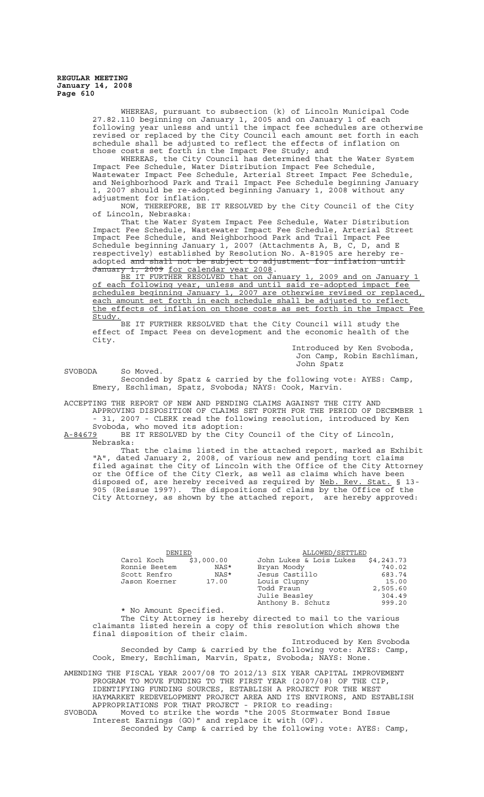> WHEREAS, pursuant to subsection (k) of Lincoln Municipal Code 27.82.110 beginning on January 1, 2005 and on January 1 of each following year unless and until the impact fee schedules are otherwise revised or replaced by the City Council each amount set forth in each schedule shall be adjusted to reflect the effects of inflation on those costs set forth in the Impact Fee Study; and

WHEREAS, the City Council has determined that the Water System Impact Fee Schedule, Water Distribution Impact Fee Schedule, Wastewater Impact Fee Schedule, Arterial Street Impact Fee Schedule, and Neighborhood Park and Trail Impact Fee Schedule beginning January 1, 2007 should be re-adopted beginning January 1, 2008 without any adjustment for inflation.

NOW, THEREFORE, BE IT RESOLVED by the City Council of the City of Lincoln, Nebraska:

That the Water System Impact Fee Schedule, Water Distribution Impact Fee Schedule, Wastewater Impact Fee Schedule, Arterial Street Impact Fee Schedule, and Neighborhood Park and Trail Impact Fee Schedule beginning January 1, 2007 (Attachments A, B, C, D, and E respectively) established by Resolution No. A-81905 are hereby readopted and shall not be subject to adjustment for inflation until January 1, 2009 for calendar year 2008.

BE IT FURTHER RESOLVED that on January 1, 2009 and on January 1 BE IT FURTHER RESOLVED that on January 1, 2009 and on January 1 of each following year, unless and until said re-adopted impact fee schedules beginning January 1, 2007 are otherwise revised or replaced, each amount set forth in each schedule shall be adjusted to reflect the effects of inflation on those costs as set forth in the Impact Fee <u>Study.</u>

BE IT FURTHER RESOLVED that the City Council will study the effect of Impact Fees on development and the economic health of the City.

Introduced by Ken Svoboda, Jon Camp, Robin Eschliman, John Spatz

SVOBODA So Moved.

Seconded by Spatz & carried by the following vote: AYES: Camp, Emery, Eschliman, Spatz, Svoboda; NAYS: Cook, Marvin.

ACCEPTING THE REPORT OF NEW AND PENDING CLAIMS AGAINST THE CITY AND

APPROVING DISPOSITION OF CLAIMS SET FORTH FOR THE PERIOD OF DECEMBER 1 - 31, 2007 - CLERK read the following resolution, introduced by Ken Svoboda, who moved its adoption:

A-84679 BE IT RESOLVED by the City Council of the City of Lincoln,  $A-84679$  BE:<br>Nebraska:

That the claims listed in the attached report, marked as Exhibit "A", dated January 2, 2008, of various new and pending tort claims filed against the City of Lincoln with the Office of the City Attorney or the Office of the City Clerk, as well as claims which have been disposed of, are hereby received as required by Neb. Rev. Stat. § 13-905 (Reissue 1997). The dispositions of claims by the Office of the City Attorney, as shown by the attached report, are hereby approved:

| DENIED        |            | ALLOWED/SETTLED         |            |
|---------------|------------|-------------------------|------------|
| Carol Koch    | \$3,000.00 | John Lukes & Lois Lukes | \$4,243.73 |
| Ronnie Beetem | NAS*       | Bryan Moody             | 740.02     |
| Scott Renfro  | NAS*       | Jesus Castillo          | 683.74     |
| Jason Koerner | 17.00      | Louis Clupny            | 15.00      |
|               |            | Todd Fraun              | 2,505.60   |
|               |            | Julie Beasley           | 304.49     |
|               |            | Anthony B. Schutz       | 999.20     |

\* No Amount Specified. The City Attorney is hereby directed to mail to the various claimants listed herein a copy of this resolution which shows the final disposition of their claim.

Introduced by Ken Svoboda Seconded by Camp & carried by the following vote: AYES: Camp, Cook, Emery, Eschliman, Marvin, Spatz, Svoboda; NAYS: None.

AMENDING THE FISCAL YEAR 2007/08 TO 2012/13 SIX YEAR CAPITAL IMPROVEMENT PROGRAM TO MOVE FUNDING TO THE FIRST YEAR (2007/08) OF THE CIP, IDENTIFYING FUNDING SOURCES, ESTABLISH A PROJECT FOR THE WEST HAYMARKET REDEVELOPMENT PROJECT AREA AND ITS ENVIRONS, AND ESTABLISH APPROPRIATIONS FOR THAT PROJECT - PRIOR to reading: SVOBODA Moved to strike the words "the 2005 Stormwater Bond Issue Interest Earnings (GO)" and replace it with (OF). Seconded by Camp & carried by the following vote: AYES: Camp,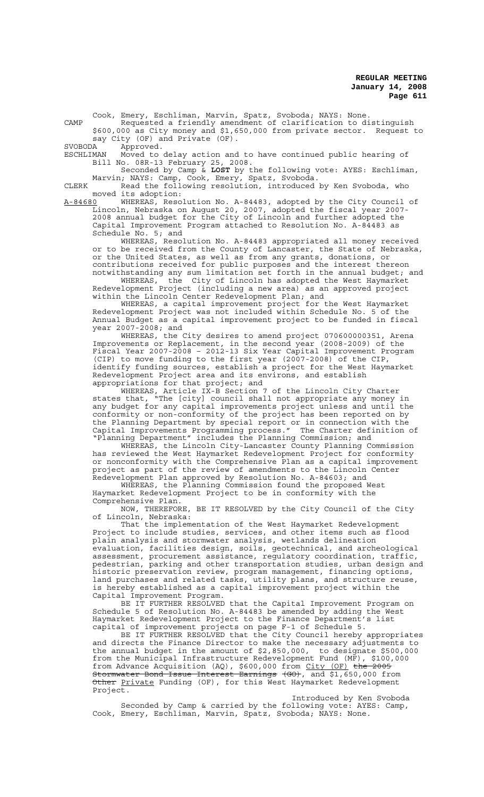Cook, Emery, Eschliman, Marvin, Spatz, Svoboda; NAYS: None.

CAMP Requested a friendly amendment of clarification to distinguish \$600,000 as City money and \$1,650,000 from private sector. Request to say City (OF) and Private (OF).<br>SVORODA – Approved

SVOBODA Approved.<br>ESCHLIMAN Moved to

ESCHLIMAN Moved to delay action and to have continued public hearing of Bill No. 08R-13 February 25, 2008.

Seconded by Camp & **LOST** by the following vote: AYES: Eschliman, Marvin; NAYS: Camp, Cook, Emery, Spatz, Svoboda.

CLERK Read the following resolution, introduced by Ken Svoboda, who moved its adoption:<br>A-84680 WHEREAS, Reso

WHEREAS, Resolution No. A-84483, adopted by the City Council of Lincoln, Nebraska on August 20, 2007, adopted the fiscal year 2007- 2008 annual budget for the City of Lincoln and further adopted the Capital Improvement Program attached to Resolution No. A-84483 as Schedule No. 5; and

WHEREAS, Resolution No. A-84483 appropriated all money received or to be received from the County of Lancaster, the State of Nebraska, or the United States, as well as from any grants, donations, or contributions received for public purposes and the interest thereon notwithstanding any sum limitation set forth in the annual budget; and WHEREAS, the City of Lincoln has adopted the West Haymarket

Redevelopment Project (including a new area) as an approved project within the Lincoln Center Redevelopment Plan; and

WHEREAS, a capital improvement project for the West Haymarket Redevelopment Project was not included within Schedule No. 5 of the Annual Budget as a capital improvement project to be funded in fiscal year 2007-2008; and

WHEREAS, the City desires to amend project 070600000351, Arena Improvements or Replacement, in the second year (2008-2009) of the Fiscal Year 2007-2008 – 2012-13 Six Year Capital Improvement Program (CIP) to move funding to the first year (2007-2008) of the CIP, identify funding sources, establish a project for the West Haymarket Redevelopment Project area and its environs, and establish appropriations for that project; and

WHEREAS, Article IX-B Section 7 of the Lincoln City Charter states that, "The [city] council shall not appropriate any money in any budget for any capital improvements project unless and until the conformity or non-conformity of the project has been reported on by the Planning Department by special report or in connection with the Capital Improvements Programming process." The Charter definition of "Planning Department" includes the Planning Commission; and

WHEREAS, the Lincoln City-Lancaster County Planning Commission has reviewed the West Haymarket Redevelopment Project for conformity or nonconformity with the Comprehensive Plan as a capital improvement project as part of the review of amendments to the Lincoln Center Redevelopment Plan approved by Resolution No. A-84603; and

WHEREAS, the Planning Commission found the proposed West Haymarket Redevelopment Project to be in conformity with the Comprehensive Plan.

NOW, THEREFORE, BE IT RESOLVED by the City Council of the City of Lincoln, Nebraska:

That the implementation of the West Haymarket Redevelopment Project to include studies, services, and other items such as flood plain analysis and stormwater analysis, wetlands delineation evaluation, facilities design, soils, geotechnical, and archeological assessment, procurement assistance, regulatory coordination, traffic, pedestrian, parking and other transportation studies, urban design and historic preservation review, program management, financing options, land purchases and related tasks, utility plans, and structure reuse, is hereby established as a capital improvement project within the Capital Improvement Program.

BE IT FURTHER RESOLVED that the Capital Improvement Program on Schedule 5 of Resolution No. A-84483 be amended by adding the West Haymarket Redevelopment Project to the Finance Department's list capital of improvement projects on page F-1 of Schedule 5.

BE IT FURTHER RESOLVED that the City Council hereby appropriates and directs the Finance Director to make the necessary adjustments to the annual budget in the amount of \$2,850,000, to designate \$500,000 from the Municipal Infrastructure Redevelopment Fund (MF), \$100,000 from Advance Acquisition (AQ), \$600,000 from City (OF) the 2005 Stormwater Bond Issue Interest Earnings (GO), and \$1,650,000 from Other Private Funding (OF), for this West Haymarket Redevelopment Project.

Introduced by Ken Svoboda Seconded by Camp & carried by the following vote: AYES: Camp, Cook, Emery, Eschliman, Marvin, Spatz, Svoboda; NAYS: None.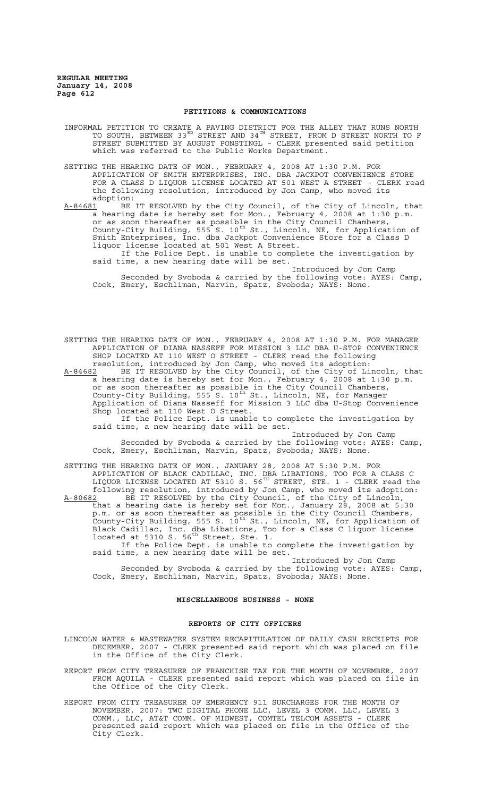## **PETITIONS & COMMUNICATIONS**

- INFORMAL PETITION TO CREATE A PAVING DISTRICT FOR THE ALLEY THAT RUNS NORTH TO SOUTH, BETWEEN 33 $^{\text{\tiny{RD}}}$  STREET AND 34 $^{\text{\tiny{TH}}}$  STREET, FROM D STREET NORTH TO F STREET SUBMITTED BY AUGUST PONSTINGL - CLERK presented said petition which was referred to the Public Works Department.
- SETTING THE HEARING DATE OF MON., FEBRUARY 4, 2008 AT 1:30 P.M. FOR APPLICATION OF SMITH ENTERPRISES, INC. DBA JACKPOT CONVENIENCE STORE FOR A CLASS D LIQUOR LICENSE LOCATED AT 501 WEST A STREET - CLERK read the following resolution, introduced by Jon Camp, who moved its adoption:<br><u>A-84681</u> BE

A-84681 BE IT RESOLVED by the City Council, of the City of Lincoln, that a hearing date is hereby set for Mon., February 4, 2008 at 1:30 p.m. or as soon thereafter as possible in the City Council Chambers, County-City Building, 555 S. 10<sup>th</sup> St., Lincoln, NE, for Application of Smith Enterprises, Inc. dba Jackpot Convenience Store for a Class D liquor license located at 501 West A Street.

If the Police Dept. is unable to complete the investigation by said time, a new hearing date will be set.

Introduced by Jon Camp Seconded by Svoboda & carried by the following vote: AYES: Camp, Cook, Emery, Eschliman, Marvin, Spatz, Svoboda; NAYS: None.

SETTING THE HEARING DATE OF MON., FEBRUARY 4, 2008 AT 1:30 P.M. FOR MANAGER APPLICATION OF DIANA NASSEFF FOR MISSION 3 LLC DBA U-STOP CONVENIENCE SHOP LOCATED AT 110 WEST O STREET - CLERK read the following resolution, introduced by Jon Camp, who moved its adoption:

A-84682 BE IT RESOLVED by the City Council, of the City of Lincoln, that a hearing date is hereby set for Mon., February 4, 2008 at 1:30 p.m. or as soon thereafter as possible in the City Council Chambers, County-City Building, 555 S. 10<sup>th</sup> St., Lincoln, NE, for Manager Application of Diana Nasseff for Mission 3 LLC dba U-Stop Convenience Shop located at 110 West O Street.

If the Police Dept. is unable to complete the investigation by said time, a new hearing date will be set.

Introduced by Jon Camp Seconded by Svoboda & carried by the following vote: AYES: Camp, Cook, Emery, Eschliman, Marvin, Spatz, Svoboda; NAYS: None.

SETTING THE HEARING DATE OF MON., JANUARY 28, 2008 AT 5:30 P.M. FOR APPLICATION OF BLACK CADILLAC, INC. DBA LIBATIONS, TOO FOR A CLASS C LIQUOR LICENSE LOCATED AT 5310 S. 56 $^{\text{\tiny{TH}}}$  STREET, STE. 1 - CLERK read the following resolution, introduced by Jon Camp, who moved its adoption: A-80682 BE IT RESOLVED by the City Council, of the City of Lincoln, that a hearing date is hereby set for Mon., January 28, 2008 at 5:30

p.m. or as soon thereafter as possible in the City Council Chambers, .<br>County-City Building, 555 S. 10<sup>th</sup> St., Lincoln, NE, for Application of Black Cadillac, Inc. dba Libations, Too for a Class C liquor license located at 5310 S. 56<sup>th</sup> Street, Ste. 1.

If the Police Dept. is unable to complete the investigation by said time, a new hearing date will be set.

Introduced by Jon Camp Seconded by Svoboda & carried by the following vote: AYES: Camp, Cook, Emery, Eschliman, Marvin, Spatz, Svoboda; NAYS: None.

## **MISCELLANEOUS BUSINESS - NONE**

### **REPORTS OF CITY OFFICERS**

- LINCOLN WATER & WASTEWATER SYSTEM RECAPITULATION OF DAILY CASH RECEIPTS FOR DECEMBER, 2007 - CLERK presented said report which was placed on file in the Office of the City Clerk.
- REPORT FROM CITY TREASURER OF FRANCHISE TAX FOR THE MONTH OF NOVEMBER, 2007 FROM AQUILA - CLERK presented said report which was placed on file in the Office of the City Clerk.
- REPORT FROM CITY TREASURER OF EMERGENCY 911 SURCHARGES FOR THE MONTH OF NOVEMBER, 2007: TWC DIGITAL PHONE LLC, LEVEL 3 COMM. LLC, LEVEL 3 COMM., LLC, AT&T COMM. OF MIDWEST, COMTEL TELCOM ASSETS - CLERK presented said report which was placed on file in the Office of the City Clerk.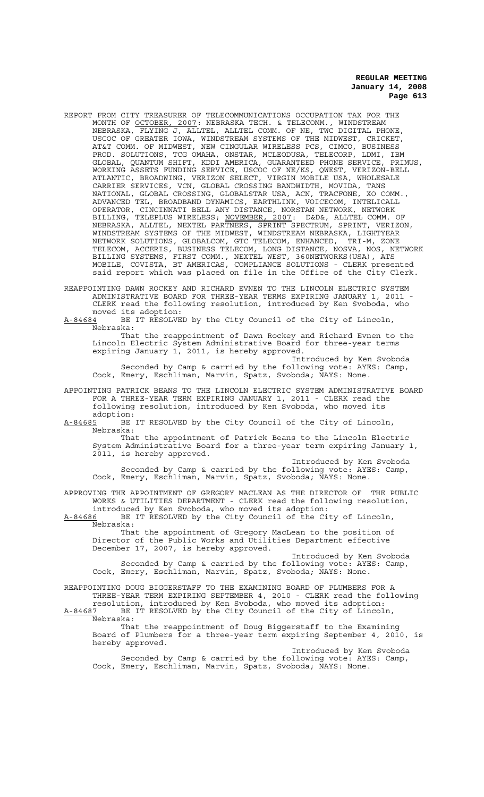- REPORT FROM CITY TREASURER OF TELECOMMUNICATIONS OCCUPATION TAX FOR THE MONTH OF <u>OCTOBER, 2007</u>: NEBRASKA TECH. & TELECOMM., WINDSTREAM NEBRASKA, FLYING J, ALLTEL, ALLTEL COMM. OF NE, TWC DIGITAL PHONE, USCOC OF GREATER IOWA, WINDSTREAM SYSTEMS OF THE MIDWEST, CRICKET, AT&T COMM. OF MIDWEST, NEW CINGULAR WIRELESS PCS, CIMCO, BUSINESS PROD. SOLUTIONS, TCG OMAHA, ONSTAR, MCLEODUSA, TELECORP, LDMI, IBM GLOBAL, QUANTUM SHIFT, KDDI AMERICA, GUARANTEED PHONE SERVICE, PRIMUS, WORKING ASSETS FUNDING SERVICE, USCOC OF NE/KS, QWEST, VERIZON-BELL ATLANTIC, BROADWING, VERIZON SELECT, VIRGIN MOBILE USA, WHOLESALE CARRIER SERVICES, VCN, GLOBAL CROSSING BANDWIDTH, MOVIDA, TANS NATIONAL, GLOBAL CROSSING, GLOBALSTAR USA, ACN, TRACFONE, XO COMM., ADVANCED TEL, BROADBAND DYNAMICS, EARTHLINK, VOICECOM, INTELICALL OPERATOR, CINCINNATI BELL ANY DISTANCE, NORSTAN NETWORK, NETWORK BILLING, TELEPLUS WIRELESS; NOVEMBER, 2007: D&D&, ALLTEL COMM. OF NEBRASKA, ALLTEL, NEXTEL PARTNERS, SPRINT SPECTRUM, SPRINT, VERIZON, WINDSTREAM SYSTEMS OF THE MIDWEST, WINDSTREAM NEBRASKA, LIGHTYEAR NETWORK SOLUTIONS, GLOBALCOM, GTC TELECOM, ENHANCED, TRI-M, ZONE TELECOM, ACCERIS, BUSINESS TELECOM, LONG DISTANCE, NOSVA, NOS, NETWORK BILLING SYSTEMS, FIRST COMM., NEXTEL WEST, 360NETWORKS(USA), ATS MOBILE, COVISTA, BT AMERICAS, COMPLIANCE SOLUTIONS - CLERK presented said report which was placed on file in the Office of the City Clerk.
- REAPPOINTING DAWN ROCKEY AND RICHARD EVNEN TO THE LINCOLN ELECTRIC SYSTEM ADMINISTRATIVE BOARD FOR THREE-YEAR TERMS EXPIRING JANUARY 1, 2011 - CLERK read the following resolution, introduced by Ken Svoboda, who moved its adoption:
- A-84684 BE IT RESOLVED by the City Council of the City of Lincoln, Nebraska:

That the reappointment of Dawn Rockey and Richard Evnen to the Lincoln Electric System Administrative Board for three-year terms expiring January 1, 2011, is hereby approved.

Introduced by Ken Svoboda Seconded by Camp & carried by the following vote: AYES: Camp, Cook, Emery, Eschliman, Marvin, Spatz, Svoboda; NAYS: None.

APPOINTING PATRICK BEANS TO THE LINCOLN ELECTRIC SYSTEM ADMINISTRATIVE BOARD FOR A THREE-YEAR TERM EXPIRING JANUARY 1, 2011 - CLERK read the following resolution, introduced by Ken Svoboda, who moved its

adoption:<br>A-84685 BE BE IT RESOLVED by the City Council of the City of Lincoln, Nebraska:

That the appointment of Patrick Beans to the Lincoln Electric System Administrative Board for a three-year term expiring January 1, 2011, is hereby approved.

Introduced by Ken Svoboda Seconded by Camp & carried by the following vote: AYES: Camp, Cook, Emery, Eschliman, Marvin, Spatz, Svoboda; NAYS: None.

APPROVING THE APPOINTMENT OF GREGORY MACLEAN AS THE DIRECTOR OF THE PUBLIC WORKS & UTILITIES DEPARTMENT - CLERK read the following resolution, introduced by Ken Svoboda, who moved its adoption:

A-84686 BE IT RESOLVED by the City Council of the City of Lincoln, Nebraska:

That the appointment of Gregory MacLean to the position of Director of the Public Works and Utilities Department effective December 17, 2007, is hereby approved.

Introduced by Ken Svoboda Seconded by Camp & carried by the following vote: AYES: Camp, Cook, Emery, Eschliman, Marvin, Spatz, Svoboda; NAYS: None.

REAPPOINTING DOUG BIGGERSTAFF TO THE EXAMINING BOARD OF PLUMBERS FOR A THREE-YEAR TERM EXPIRING SEPTEMBER 4, 2010 - CLERK read the following

resolution, introduced by Ken Svoboda, who moved its adoption: A-84687 BE IT RESOLVED by the City Council of the City of Lincoln, Nebraska:

That the reappointment of Doug Biggerstaff to the Examining Board of Plumbers for a three-year term expiring September 4, 2010, is hereby approved.

Introduced by Ken Svoboda Seconded by Camp & carried by the following vote: AYES: Camp, Cook, Emery, Eschliman, Marvin, Spatz, Svoboda; NAYS: None.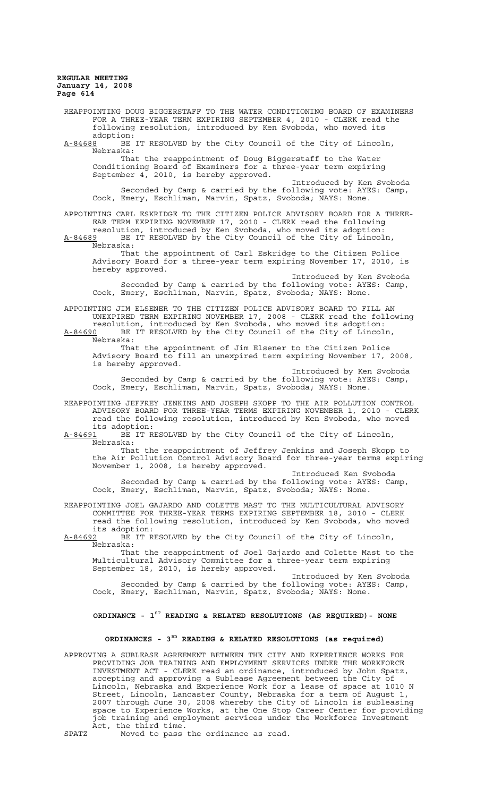REAPPOINTING DOUG BIGGERSTAFF TO THE WATER CONDITIONING BOARD OF EXAMINERS FOR A THREE-YEAR TERM EXPIRING SEPTEMBER 4, 2010 - CLERK read the following resolution, introduced by Ken Svoboda, who moved its adoption: A-84688 BE IT RESOLVED by the City Council of the City of Lincoln, Nebraska: That the reappointment of Doug Biggerstaff to the Water Conditioning Board of Examiners for a three-year term expiring September 4, 2010, is hereby approved. Introduced by Ken Svoboda Seconded by Camp & carried by the following vote: AYES: Camp, Cook, Emery, Eschliman, Marvin, Spatz, Svoboda; NAYS: None. APPOINTING CARL ESKRIDGE TO THE CITIZEN POLICE ADVISORY BOARD FOR A THREE-EAR TERM EXPIRING NOVEMBER 17, 2010 - CLERK read the following resolution, introduced by Ken Svoboda, who moved its adoption: A-84689 BE IT RESOLVED by the City Council of the City of Lincoln, Nebraska: That the appointment of Carl Eskridge to the Citizen Police Advisory Board for a three-year term expiring November 17, 2010, is hereby approved. Introduced by Ken Svoboda Seconded by Camp & carried by the following vote: AYES: Camp, Cook, Emery, Eschliman, Marvin, Spatz, Svoboda; NAYS: None. APPOINTING JIM ELSENER TO THE CITIZEN POLICE ADVISORY BOARD TO FILL AN UNEXPIRED TERM EXPIRING NOVEMBER 17, 2008 - CLERK read the following resolution, introduced by Ken Svoboda, who moved its adoption: A-84690 BE IT RESOLVED by the City Council of the City of Lincoln, Nebraska: That the appointment of Jim Elsener to the Citizen Police Advisory Board to fill an unexpired term expiring November 17, 2008, is hereby approved. Introduced by Ken Svoboda Seconded by Camp & carried by the following vote: AYES: Camp, Cook, Emery, Eschliman, Marvin, Spatz, Svoboda; NAYS: None. REAPPOINTING JEFFREY JENKINS AND JOSEPH SKOPP TO THE AIR POLLUTION CONTROL ADVISORY BOARD FOR THREE-YEAR TERMS EXPIRING NOVEMBER 1, 2010 - CLERK read the following resolution, introduced by Ken Svoboda, who moved its adoption: A-84691 BE IT RESOLVED by the City Council of the City of Lincoln, Nebraska: That the reappointment of Jeffrey Jenkins and Joseph Skopp to the Air Pollution Control Advisory Board for three-year terms expiring November 1, 2008, is hereby approved. Introduced Ken Svoboda Seconded by Camp & carried by the following vote: AYES: Camp, Cook, Emery, Eschliman, Marvin, Spatz, Svoboda; NAYS: None. REAPPOINTING JOEL GAJARDO AND COLETTE MAST TO THE MULTICULTURAL ADVISORY COMMITTEE FOR THREE-YEAR TERMS EXPIRING SEPTEMBER 18, 2010 - CLERK read the following resolution, introduced by Ken Svoboda, who moved its adoption: A-84692 BE IT RESOLVED by the City Council of the City of Lincoln, Nebraska: That the reappointment of Joel Gajardo and Colette Mast to the Multicultural Advisory Committee for a three-year term expiring September 18, 2010, is hereby approved. Introduced by Ken Svoboda Seconded by Camp & carried by the following vote: AYES: Camp, Cook, Emery, Eschliman, Marvin, Spatz, Svoboda; NAYS: None. **ORDINANCE - 1ST READING & RELATED RESOLUTIONS (AS REQUIRED)- NONE ORDINANCES - 3RD READING & RELATED RESOLUTIONS (as required)** APPROVING A SUBLEASE AGREEMENT BETWEEN THE CITY AND EXPERIENCE WORKS FOR PROVIDING JOB TRAINING AND EMPLOYMENT SERVICES UNDER THE WORKFORCE INVESTMENT ACT - CLERK read an ordinance, introduced by John Spatz, accepting and approving a Sublease Agreement between the City of Lincoln, Nebraska and Experience Work for a lease of space at 1010 N Street, Lincoln, Lancaster County, Nebraska for a term of August 1,

2007 through June 30, 2008 whereby the City of Lincoln is subleasing space to Experience Works, at the One Stop Career Center for providing job training and employment services under the Workforce Investment

Act, the third time. SPATZ Moved to pass the ordinance as read.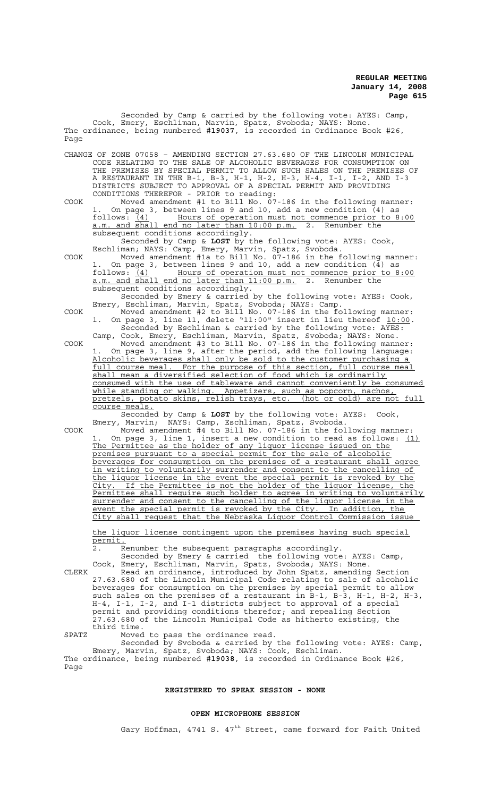Seconded by Camp & carried by the following vote: AYES: Camp, Cook, Emery, Eschliman, Marvin, Spatz, Svoboda; NAYS: None. The ordinance, being numbered **#19037**, is recorded in Ordinance Book #26, Page

CHANGE OF ZONE 07058 – AMENDING SECTION 27.63.680 OF THE LINCOLN MUNICIPAL CODE RELATING TO THE SALE OF ALCOHOLIC BEVERAGES FOR CONSUMPTION ON THE PREMISES BY SPECIAL PERMIT TO ALLOW SUCH SALES ON THE PREMISES OF A RESTAURANT IN THE B-1, B-3, H-1, H-2, H-3, H-4, I-1, I-2, AND I-3 DISTRICTS SUBJECT TO APPROVAL OF A SPECIAL PERMIT AND PROVIDING CONDITIONS THEREFOR - PRIOR to reading:

COOK Moved amendment #1 to Bill No. 07-186 in the following manner: On page 3, between lines 9 and 10, add a new condition  $(4)$  as ows:  $(4)$  Hours of operation must not commence prior to 8:00 follows: (4) Hours of operation must not commence prior to 8:00 a.m. and shall end no later than 10:00 p.m. 2. Renumber the subsequent conditions accordingly.

Seconded by Camp & **LOST** by the following vote: AYES: Cook, Eschliman; NAYS: Camp, Emery, Marvin, Spatz, Svoboda.

COOK Moved amendment #1a to Bill No. 07-186 in the following manner: 1. On page 3, between lines 9 and 10, add a new condition (4) as follows: (4) Hours of operation must not commence prior to 8:00 a.m. and shall end no later than 11:00 p.m. 2. Renumber the subsequent conditions accordingly.

Seconded by Emery & carried by the following vote: AYES: Cook, Emery, Eschliman, Marvin, Spatz, Svoboda; NAYS: Camp.

COOK Moved amendment #2 to Bill No. 07-186 in the following manner: 1. On page 3, line 11, delete "11:00" insert in lieu thereof 10:00. Seconded by Eschliman & carried by the following vote: AYES: Camp, Cook, Emery, Eschliman, Marvin, Spatz, Svoboda; NAYS: None.

COOK Moved amendment #3 to Bill No. 07-186 in the following manner: 1. On page 3, line 9, after the period, add the following language: Alcoholic beverages shall only be sold to the customer purchasing a full course meal. For the purpose of this section, full course meal shall mean a diversified selection of food which is ordinarily consumed with the use of tableware and cannot conveniently be consumed while standing or walking. Appetizers, such as popcorn, nachos, pretzels, potato skins, relish trays, etc. (hot or cold) are not full course meals.

Seconded by Camp & **LOST** by the following vote: AYES: Cook, Emery, Marvin; NAYS: Camp, Eschliman, Spatz, Svoboda.

COOK Moved amendment #4 to Bill No. 07-186 in the following manner: On page 3, line 1, insert a new condition to read as follows:  $(1)$ The Permittee as the holder of any liquor license issued on the premises pursuant to a special permit for the sale of alcoholic beverages for consumption on the premises of a restaurant shall agree in writing to voluntarily surrender and consent to the cancelling of the liquor license in the event the special permit is revoked by the City. If the Permittee is not the holder of the liquor license, the Permittee shall require such holder to agree in writing to voluntarily surrender and consent to the cancelling of the liquor license in the event the special permit is revoked by the City. In addition, the City shall request that the Nebraska Liquor Control Commission issue

the liquor license contingent upon the premises having such special permit.

Renumber the subsequent paragraphs accordingly.

Seconded by Emery & carried the following vote: AYES: Camp,

Cook, Emery, Eschliman, Marvin, Spatz, Svoboda; NAYS: None. CLERK Read an ordinance, introduced by John Spatz, amending Section 27.63.680 of the Lincoln Municipal Code relating to sale of alcoholic beverages for consumption on the premises by special permit to allow such sales on the premises of a restaurant in B-1, B-3, H-1, H-2, H-3, H-4, I-1, I-2, and I-1 districts subject to approval of a special permit and providing conditions therefor; and repealing Section 27.63.680 of the Lincoln Municipal Code as hitherto existing, the third time.

SPATZ Moved to pass the ordinance read.

Seconded by Svoboda & carried by the following vote: AYES: Camp, Emery, Marvin, Spatz, Svoboda; NAYS: Cook, Eschliman. The ordinance, being numbered **#19038**, is recorded in Ordinance Book #26, Page

## **REGISTERED TO SPEAK SESSION - NONE**

### **OPEN MICROPHONE SESSION**

Gary Hoffman, 4741 S.  $47<sup>th</sup>$  Street, came forward for Faith United